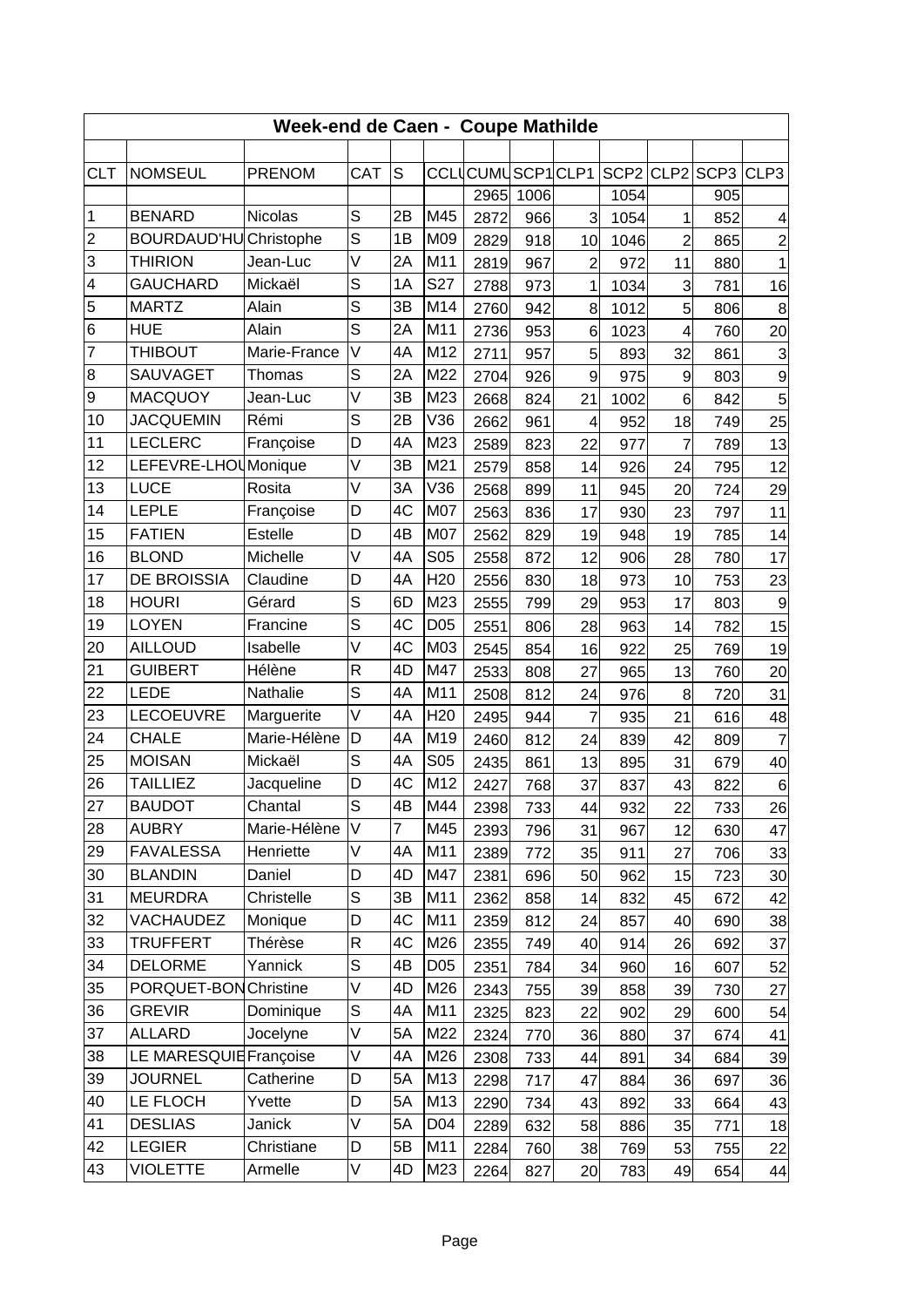| Week-end de Caen - Coupe Mathilde |                        |               |                |            |                 |                  |      |                |           |                |                  |                |
|-----------------------------------|------------------------|---------------|----------------|------------|-----------------|------------------|------|----------------|-----------|----------------|------------------|----------------|
|                                   |                        |               |                |            |                 |                  |      |                |           |                |                  |                |
| <b>CLT</b>                        | <b>NOMSEUL</b>         | <b>PRENOM</b> | CAT            | S          |                 | CCLUCUMUSCP1CLP1 |      |                | SCP2 CLP2 |                | SCP <sub>3</sub> | CLP3           |
|                                   |                        |               |                |            |                 | 2965             | 1006 |                | 1054      |                | 905              |                |
| $\mathbf 1$                       | <b>BENARD</b>          | Nicolas       | S              | 2B         | M45             | 2872             | 966  | 3              | 1054      | 1              | 852              | 4              |
| $\overline{c}$                    | <b>BOURDAUD'HU</b>     | Christophe    | S              | 1B         | M09             | 2829             | 918  | 10             | 1046      | $\overline{c}$ | 865              | $\overline{c}$ |
| 3                                 | <b>THIRION</b>         | Jean-Luc      | $\vee$         | 2A         | M11             | 2819             | 967  | 2              | 972       | 11             | 880              | $\mathbf{1}$   |
| $\overline{\mathbf{4}}$           | <b>GAUCHARD</b>        | Mickaël       | S              | 1A         | S27             | 2788             | 973  | 1              | 1034      | 3              | 781              | 16             |
| 5                                 | <b>MARTZ</b>           | Alain         | S              | 3B         | M14             | 2760             | 942  | 8              | 1012      | 5              | 806              | 8              |
| 6                                 | <b>HUE</b>             | Alain         | S              | 2A         | M11             | 2736             | 953  | $\,6$          | 1023      | 4              | 760              | 20             |
| 7                                 | <b>THIBOUT</b>         | Marie-France  | $\vee$         | 4A         | M12             | 2711             | 957  | 5              | 893       | 32             | 861              | 3              |
| 8                                 | SAUVAGET               | <b>Thomas</b> | S              | 2A         | M22             | 2704             | 926  | 9              | 975       | 9              | 803              | 9              |
| 9                                 | <b>MACQUOY</b>         | Jean-Luc      | $\vee$         | 3B         | M23             | 2668             | 824  | 21             | 1002      | 6              | 842              | 5              |
| 10                                | <b>JACQUEMIN</b>       | Rémi          | S              | 2B         | V36             | 2662             | 961  | $\overline{4}$ | 952       | 18             | 749              | 25             |
| 11                                | <b>LECLERC</b>         | Françoise     | D              | 4A         | M23             | 2589             | 823  | 22             | 977       | $\overline{7}$ | 789              | 13             |
| 12                                | LEFEVRE-LHOUMonique    |               | V              | 3B         | M21             | 2579             | 858  | 14             | 926       | 24             | 795              | 12             |
| 13                                | <b>LUCE</b>            | Rosita        | $\vee$         | 3A         | V36             | 2568             | 899  | 11             | 945       | 20             | 724              | 29             |
| 14                                | <b>LEPLE</b>           | Françoise     | D              | 4C         | M07             | 2563             | 836  | 17             | 930       | 23             | 797              | 11             |
| 15                                | <b>FATIEN</b>          | Estelle       | D              | 4B         | M07             | 2562             | 829  | 19             | 948       | 19             | 785              | 14             |
| 16                                | <b>BLOND</b>           | Michelle      | $\vee$         | 4A         | S05             | 2558             | 872  | 12             | 906       | 28             | 780              | 17             |
| 17                                | <b>DE BROISSIA</b>     | Claudine      | D              | 4A         | H <sub>20</sub> | 2556             | 830  | 18             | 973       | 10             | 753              | 23             |
| 18                                | <b>HOURI</b>           | Gérard        | S              | 6D         | M23             | 2555             | 799  | 29             | 953       | 17             | 803              | 9              |
| 19                                | <b>LOYEN</b>           | Francine      | S              | 4C         | D05             | 2551             | 806  | 28             | 963       | 14             | 782              | 15             |
| 20                                | <b>AILLOUD</b>         | Isabelle      | $\vee$         | 4C         | M03             | 2545             | 854  | 16             | 922       | 25             | 769              | 19             |
| 21                                | <b>GUIBERT</b>         | Hélène        | $\mathsf{R}$   | 4D         | M47             | 2533             | 808  | 27             | 965       | 13             | 760              | 20             |
| 22                                | <b>LEDE</b>            | Nathalie      | S              | 4A         | M11             | 2508             | 812  | 24             | 976       | 8              | 720              | 31             |
| 23                                | LECOEUVRE              | Marguerite    | $\vee$         | 4A         | H <sub>20</sub> | 2495             | 944  | 7              | 935       | 21             | 616              | 48             |
| 24                                | <b>CHALE</b>           | Marie-Hélène  | D              | 4A         | M19             | 2460             | 812  | 24             | 839       | 42             | 809              | $\overline{7}$ |
| 25                                | <b>MOISAN</b>          | Mickaël       | S              | 4A         | S05             | 2435             | 861  | 13             | 895       | 31             | 679              | 40             |
| 26                                | <b>TAILLIEZ</b>        | Jacqueline    | D              | 4C         | M12             | 2427             | 768  | 37             | 837       | 43             | 822              | $\,6$          |
| 27                                | <b>BAUDOT</b>          | Chantal       | $\overline{s}$ | 4B         | M44             | 2398             | 733  | 44             | 932       | 22             | 733              | 26             |
| 28                                | <b>AUBRY</b>           | Marie-Hélène  | V              | 7          | M45             | 2393             | 796  | 31             | 967       | 12             | 630              | 47             |
| 29                                | <b>FAVALESSA</b>       | Henriette     | $\vee$         | 4A         | M11             | 2389             | 772  | 35             | 911       | 27             | 706              | 33             |
| 30                                | <b>BLANDIN</b>         | Daniel        | D              | 4D         | M47             | 2381             | 696  | 50             | 962       | 15             | 723              | 30             |
| 31                                | <b>MEURDRA</b>         | Christelle    | S              | 3B         | M11             | 2362             | 858  | 14             | 832       | 45             | 672              | 42             |
| 32                                | <b>VACHAUDEZ</b>       | Monique       | D              | 4C         | M11             | 2359             | 812  | 24             | 857       | 40             | 690              | 38             |
| 33                                | <b>TRUFFERT</b>        | Thérèse       | ${\sf R}$      | 4C         | M26             | 2355             | 749  | 40             | 914       | 26             | 692              | 37             |
| 34                                | <b>DELORME</b>         | Yannick       | S              | 4B         | D05             | 2351             | 784  | 34             | 960       | 16             | 607              | 52             |
| 35                                | PORQUET-BON Christine  |               | V              | 4D         | M26             | 2343             | 755  | 39             | 858       | 39             | 730              | 27             |
| 36                                | <b>GREVIR</b>          | Dominique     | $\mathsf S$    | 4A         | M11             | 2325             | 823  | 22             | 902       | 29             | 600              | 54             |
| 37                                | <b>ALLARD</b>          | Jocelyne      | V              | 5A         | M22             | 2324             | 770  | 36             | 880       | 37             | 674              | 41             |
| 38                                | LE MARESQUIE Françoise |               | $\vee$         | 4A         | M26             | 2308             | 733  | 44             | 891       | 34             | 684              | 39             |
| 39                                | <b>JOURNEL</b>         | Catherine     | D              | 5A         | M13             | 2298             | 717  | 47             | 884       | 36             | 697              | 36             |
| 40                                | LE FLOCH               | Yvette        | D              | 5A         | M13             | 2290             | 734  | 43             | 892       | 33             | 664              | 43             |
| 41                                | <b>DESLIAS</b>         | Janick        | V              | 5A         | D04             | 2289             | 632  | 58             | 886       | 35             | 771              | 18             |
| 42                                | <b>LEGIER</b>          | Christiane    | D              | 5 <b>B</b> | M11             | 2284             | 760  | 38             | 769       | 53             | 755              | 22             |
| 43                                | <b>VIOLETTE</b>        | Armelle       | V              | 4D         | M23             | 2264             | 827  | 20             | 783       | 49             | 654              | 44             |
|                                   |                        |               |                |            |                 |                  |      |                |           |                |                  |                |